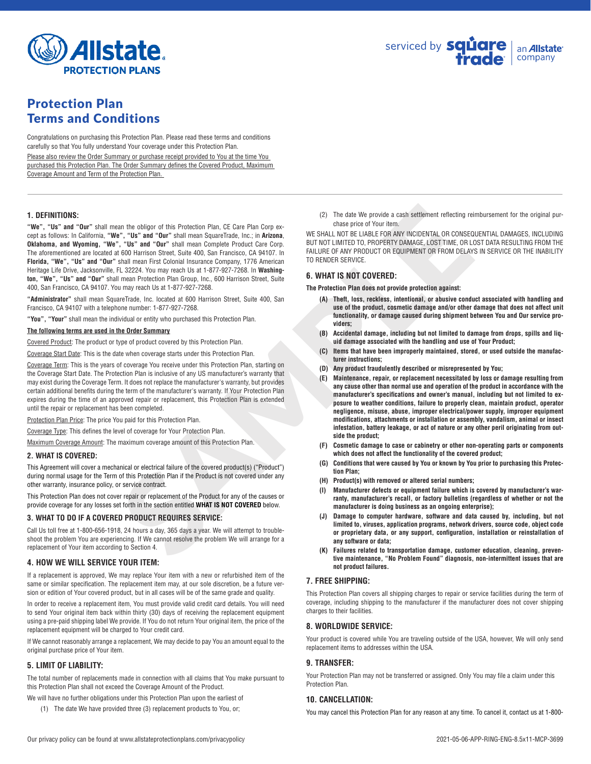

# Protection Plan Terms and Conditions

Congratulations on purchasing this Protection Plan. Please read these terms and conditions carefully so that You fully understand Your coverage under this Protection Plan.

Please also review the Order Summary or purchase receipt provided to You at the time You purchased this Protection Plan. The Order Summary defines the Covered Product, Maximum Coverage Amount and Term of the Protection Plan.

## **1. DEFINITIONS:**

san fite obligor of this Protection Plan. C6 Care Plan Corp e-<br>
Corp (2) The date We provide a cash settement reflecting resp.<br>
The Value of Corp (1) and "Our" shall mean Square Frade, inc. in Arizona,<br>
The Value of AAY PR **"We", "Us" and "Our"** shall mean the obligor of this Protection Plan, CE Care Plan Corp except as follows: In California, **"We", "Us" and "Our"** shall mean SquareTrade, Inc.; in **Arizona**, **Oklahoma, and Wyoming, "We", "Us" and "Our"** shall mean Complete Product Care Corp. The aforementioned are located at 600 Harrison Street, Suite 400, San Francisco, CA 94107. In **Florida, "We", "Us" and "Our"** shall mean First Colonial Insurance Company, 1776 American Heritage Life Drive, Jacksonville, FL 32224. You may reach Us at 1-877-927-7268. In **Washington, "We", "Us" and "Our"** shall mean Protection Plan Group, Inc., 600 Harrison Street, Suite 400, San Francisco, CA 94107. You may reach Us at 1-877-927-7268.

**"Administrator"** shall mean SquareTrade, Inc. located at 600 Harrison Street, Suite 400, San Francisco, CA 94107 with a telephone number: 1-877-927-7268.

**"You", "Your"** shall mean the individual or entity who purchased this Protection Plan.

#### **The following terms are used in the Order Summary**

Covered Product: The product or type of product covered by this Protection Plan.

Coverage Start Date: This is the date when coverage starts under this Protection Plan.

Coverage Term: This is the years of coverage You receive under this Protection Plan, starting on the Coverage Start Date. The Protection Plan is inclusive of any US manufacturer's warranty that may exist during the Coverage Term. It does not replace the manufacturer's warranty, but provides certain additional benefits during the term of the manufacturer's warranty. If Your Protection Plan expires during the time of an approved repair or replacement, this Protection Plan is extended until the repair or replacement has been completed.

Protection Plan Price: The price You paid for this Protection Plan.

Coverage Type: This defines the level of coverage for Your Protection Plan.

Maximum Coverage Amount: The maximum coverage amount of this Protection Plan.

#### **2. WHAT IS COVERED:**

This Agreement will cover a mechanical or electrical failure of the covered product(s) ("Product") during normal usage for the Term of this Protection Plan if the Product is not covered under any other warranty, insurance policy, or service contract.

This Protection Plan does not cover repair or replacement of the Product for any of the causes or provide coverage for any losses set forth in the section entitled **WHAT IS NOT COVERED** below.

#### **3. WHAT TO DO IF A COVERED PRODUCT REQUIRES SERVICE:**

Call Us toll free at 1-800-656-1918, 24 hours a day, 365 days a year. We will attempt to troubleshoot the problem You are experiencing. If We cannot resolve the problem We will arrange for a replacement of Your item according to Section 4.

#### **4. HOW WE WILL SERVICE YOUR ITEM:**

If a replacement is approved, We may replace Your item with a new or refurbished item of the same or similar specification. The replacement item may, at our sole discretion, be a future version or edition of Your covered product, but in all cases will be of the same grade and quality.

In order to receive a replacement item, You must provide valid credit card details. You will need to send Your original item back within thirty (30) days of receiving the replacement equipment using a pre-paid shipping label We provide. If You do not return Your original item, the price of the replacement equipment will be charged to Your credit card.

If We cannot reasonably arrange a replacement, We may decide to pay You an amount equal to the original purchase price of Your item.

# **5. LIMIT OF LIABILITY:**

The total number of replacements made in connection with all claims that You make pursuant to this Protection Plan shall not exceed the Coverage Amount of the Product.

- We will have no further obligations under this Protection Plan upon the earliest of
	- (1) The date We have provided three (3) replacement products to You, or;

(2) The date We provide a cash settlement reflecting reimbursement for the original purchase price of Your item.

WE SHALL NOT BE LIABLE FOR ANY INCIDENTAL OR CONSEQUENTIAL DAMAGES, INCLUDING BUT NOT LIMITED TO, PROPERTY DAMAGE, LOST TIME, OR LOST DATA RESULTING FROM THE FAILURE OF ANY PRODUCT OR EQUIPMENT OR FROM DELAYS IN SERVICE OR THE INABILITY TO RENDER SERVICE.

## **6. WHAT IS NOT COVERED:**

**The Protection Plan does not provide protection against:**

- **(A) Theft, loss, reckless, intentional, or abusive conduct associated with handling and use of the product, cosmetic damage and/or other damage that does not affect unit functionality, or damage caused during shipment between You and Our service providers;**
- **(B) Accidental damage, including but not limited to damage from drops, spills and liquid damage associated with the handling and use of Your Product;**
- **(C) Items that have been improperly maintained, stored, or used outside the manufacturer instructions;**
- **(D) Any product fraudulently described or misrepresented by You;**
- **(E) Maintenance, repair, or replacement necessitated by loss or damage resulting from any cause other than normal use and operation of the product in accordance with the manufacturer's specifications and owner's manual, including but not limited to exposure to weather conditions, failure to properly clean, maintain product, operator negligence, misuse, abuse, improper electrical/power supply, improper equipment modifications, attachments or installation or assembly, vandalism, animal or insect infestation, battery leakage, or act of nature or any other peril originating from outside the product;**
- **(F) Cosmetic damage to case or cabinetry or other non-operating parts or components which does not affect the functionality of the covered product;**
- **(G) Conditions that were caused by You or known by You prior to purchasing this Protection Plan;**
- **(H) Product(s) with removed or altered serial numbers;**
- **(I) Manufacturer defects or equipment failure which is covered by manufacturer's warranty, manufacturer's recall, or factory bulletins (regardless of whether or not the manufacturer is doing business as an ongoing enterprise);**
- **(J) Damage to computer hardware, software and data caused by, including, but not limited to, viruses, application programs, network drivers, source code, object code or proprietary data, or any support, configuration, installation or reinstallation of any software or data;**
- **(K) Failures related to transportation damage, customer education, cleaning, preventive maintenance, "No Problem Found" diagnosis, non-intermittent issues that are not product failures.**

## **7. FREE SHIPPING:**

This Protection Plan covers all shipping charges to repair or service facilities during the term of coverage, including shipping to the manufacturer if the manufacturer does not cover shipping charges to their facilities.

## **8. WORLDWIDE SERVICE:**

Your product is covered while You are traveling outside of the USA, however, We will only send replacement items to addresses within the USA.

# **9. TRANSFER:**

Your Protection Plan may not be transferred or assigned. Only You may file a claim under this Protection Plan.

# **10. CANCELLATION:**

You may cancel this Protection Plan for any reason at any time. To cancel it, contact us at 1-800-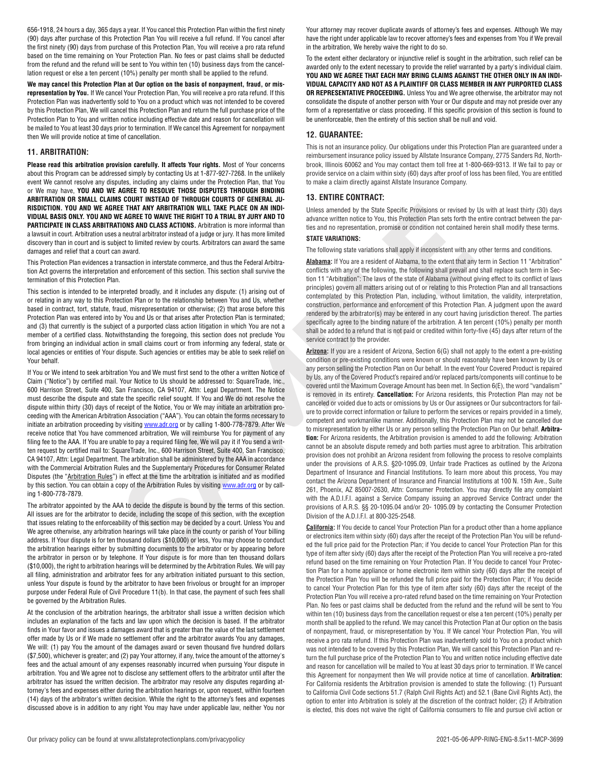656-1918, 24 hours a day, 365 days a year. If You cancel this Protection Plan within the first ninety (90) days after purchase of this Protection Plan You will receive a full refund. If You cancel after the first ninety (90) days from purchase of this Protection Plan, You will receive a pro rata refund based on the time remaining on Your Protection Plan. No fees or past claims shall be deducted from the refund and the refund will be sent to You within ten (10) business days from the cancellation request or else a ten percent (10%) penalty per month shall be applied to the refund.

**We may cancel this Protection Plan at Our option on the basis of nonpayment, fraud, or misrepresentation by You.** If We cancel Your Protection Plan, You will receive a pro rata refund. If this Protection Plan was inadvertently sold to You on a product which was not intended to be covered by this Protection Plan, We will cancel this Protection Plan and return the full purchase price of the Protection Plan to You and written notice including effective date and reason for cancellation will be mailed to You at least 30 days prior to termination. If We cancel this Agreement for nonpayment then We will provide notice at time of cancellation.

# **11. ARBITRATION:**

**Please read this arbitration provision carefully. It affects Your rights.** Most of Your concerns about this Program can be addressed simply by contacting Us at 1-877-927-7268. In the unlikely event We cannot resolve any disputes, including any claims under the Protection Plan, that You or We may have, **YOU AND WE AGREE TO RESOLVE THOSE DISPUTES THROUGH BINDING ARBITRATION OR SMALL CLAIMS COURT INSTEAD OF THROUGH COURTS OF GENERAL JU-RISDICTION. YOU AND WE AGREE THAT ANY ARBITRATION WILL TAKE PLACE ON AN INDI-VIDUAL BASIS ONLY. YOU AND WE AGREE TO WAIVE THE RIGHT TO A TRIAL BY JURY AND TO PARTICIPATE IN CLASS ARBITRATIONS AND CLASS ACTIONS.** Arbitration is more informal than a lawsuit in court. Arbitration uses a neutral arbitrator instead of a judge or jury. It has more limited discovery than in court and is subject to limited review by courts. Arbitrators can award the same damages and relief that a court can award.

This Protection Plan evidences a transaction in interstate commerce, and thus the Federal Arbitration Act governs the interpretation and enforcement of this section. This section shall survive the termination of this Protection Plan.

This section is intended to be interpreted broadly, and it includes any dispute: (1) arising out of or relating in any way to this Protection Plan or to the relationship between You and Us, whether based in contract, tort, statute, fraud, misrepresentation or otherwise; (2) that arose before this Protection Plan was entered into by You and Us or that arises after Protection Plan is terminated; and (3) that currently is the subject of a purported class action litigation in which You are not a member of a certified class. Notwithstanding the foregoing, this section does not preclude You from bringing an individual action in small claims court or from informing any federal, state or local agencies or entities of Your dispute. Such agencies or entities may be able to seek relief on Your behalf.

If You or We intend to seek arbitration You and We must first send to the other a written Notice of Claim ("Notice") by certified mail. Your Notice to Us should be addressed to: SquareTrade, Inc., 600 Harrison Street, Suite 400, San Francisco, CA 94107, Attn: Legal Department. The Notice must describe the dispute and state the specific relief sought. If You and We do not resolve the dispute within thirty (30) days of receipt of the Notice, You or We may initiate an arbitration proceeding with the American Arbitration Association ("AAA"). You can obtain the forms necessary to initiate an arbitration proceeding by visiting **www.adr.org** or by calling 1-800-778-7879. After We receive notice that You have commenced arbitration, We will reimburse You for payment of any filing fee to the AAA. If You are unable to pay a required filing fee, We will pay it if You send a written request by certified mail to: SquareTrade, Inc., 600 Harrison Street, Suite 400, San Francisco, CA 94107. Attn: Legal Department. The arbitration shall be administered by the AAA in accordance with the Commercial Arbitration Rules and the Supplementary Procedures for Consumer Related Disputes (the "Arbitration Rules") in effect at the time the arbitration is initiated and as modified by this section. You can obtain a copy of the Arbitration Rules by visiting www.adr.org or by calling 1-800-778-7879.

The arbitrator appointed by the AAA to decide the dispute is bound by the terms of this section. All issues are for the arbitrator to decide, including the scope of this section, with the exception that issues relating to the enforceability of this section may be decided by a court. Unless You and We agree otherwise, any arbitration hearings will take place in the county or parish of Your billing address. If Your dispute is for ten thousand dollars (\$10,000) or less, You may choose to conduct the arbitration hearings either by submitting documents to the arbitrator or by appearing before the arbitrator in person or by telephone. If Your dispute is for more than ten thousand dollars (\$10,000), the right to arbitration hearings will be determined by the Arbitration Rules. We will pay all filing, administration and arbitrator fees for any arbitration initiated pursuant to this section, unless Your dispute is found by the arbitrator to have been frivolous or brought for an improper purpose under Federal Rule of Civil Procedure 11(b). In that case, the payment of such fees shall be governed by the Arbitration Rules.

At the conclusion of the arbitration hearings, the arbitrator shall issue a written decision which includes an explanation of the facts and law upon which the decision is based. If the arbitrator finds in Your favor and issues a damages award that is greater than the value of the last settlement offer made by Us or if We made no settlement offer and the arbitrator awards You any damages, We will: (1) pay You the amount of the damages award or seven thousand five hundred dollars (\$7,500), whichever is greater; and (2) pay Your attorney, if any, twice the amount of the attorney's fees and the actual amount of any expenses reasonably incurred when pursuing Your dispute in arbitration. You and We agree not to disclose any settlement offers to the arbitrator until after the arbitrator has issued the written decision. The arbitrator may resolve any disputes regarding attorney's fees and expenses either during the arbitration hearings or, upon request, within fourteen (14) days of the arbitrator's written decision. While the right to the attorney's fees and expenses discussed above is in addition to any right You may have under applicable law, neither You nor Your attorney may recover duplicate awards of attorney's fees and expenses. Although We may have the right under applicable law to recover attorney's fees and expenses from You if We prevail in the arbitration, We hereby waive the right to do so.

To the extent either declaratory or injunctive relief is sought in the arbitration, such relief can be awarded only to the extent necessary to provide the relief warranted by a party's individual claim. **YOU AND WE AGREE THAT EACH MAY BRING CLAIMS AGAINST THE OTHER ONLY IN AN INDI-VIDUAL CAPACITY AND NOT AS A PLAINTIFF OR CLASS MEMBER IN ANY PURPORTED CLASS OR REPRESENTATIVE PROCEEDING.** Unless You and We agree otherwise, the arbitrator may not consolidate the dispute of another person with Your or Our dispute and may not preside over any form of a representative or class proceeding. If this specific provision of this section is found to be unenforceable, then the entirety of this section shall be null and void.

# **12. GUARANTEE:**

This is not an insurance policy. Our obligations under this Protection Plan are guaranteed under a reimbursement insurance policy issued by Allstate Insurance Company, 2775 Sanders Rd, Northbrook, Illinois 60062 and You may contact them toll free at 1-800-669-9313. If We fail to pay or provide service on a claim within sixty (60) days after proof of loss has been filed, You are entitled to make a claim directly against Allstate Insurance Company.

## **13. ENTIRE CONTRACT:**

Unless amended by the State Specific Provisions or revised by Us with at least thirty (30) days advance written notice to You, this Protection Plan sets forth the entire contract between the parties and no representation, promise or condition not contained herein shall modify these terms.

#### **STATE VARIATIONS:**

The following state variations shall apply if inconsistent with any other terms and conditions.

**Alabama:** If You are a resident of Alabama, to the extent that any term in Section 11 "Arbitration" conflicts with any of the following, the following shall prevail and shall replace such term in Section 11 "Arbitration": The laws of the state of Alabama (without giving effect to its conflict of laws principles) govern all matters arising out of or relating to this Protection Plan and all transactions contemplated by this Protection Plan, including, without limitation, the validity, interpretation, construction, performance and enforcement of this Protection Plan. A judgment upon the award rendered by the arbitrator(s) may be entered in any court having jurisdiction thereof. The parties specifically agree to the binding nature of the arbitration. A ten percent (10%) penalty per month shall be added to a refund that is not paid or credited within forty-five (45) days after return of the service contract to the provider.

**EE THAT ARY ARBITRATION WILL TAKE PLACE ON AN IRON - Unless amended by the State Specific Provisions or method to the SMS Franchisco or the SMS Franchisco or the SMS Franchisco or the SMS Franchisco or the SMS Franchisco Arizona:** If you are a resident of Arizona, Section 6(G) shall not apply to the extent a pre-existing condition or pre-existing conditions were known or should reasonably have been known by Us or any person selling the Protection Plan on Our behalf. In the event Your Covered Product is repaired by Us, any of the Covered Product's repaired and/or replaced parts/components will continue to be covered until the Maximum Coverage Amount has been met. In Section 6(E), the word "vandalism" is removed in its entirety. **Cancellation:** For Arizona residents, this Protection Plan may not be canceled or voided due to acts or omissions by Us or Our assignees or Our subcontractors for failure to provide correct information or failure to perform the services or repairs provided in a timely, competent and workmanlike manner. Additionally, this Protection Plan may not be cancelled due to misrepresentation by either Us or any person selling the Protection Plan on Our behalf. **Arbitration:** For Arizona residents, the Arbitration provision is amended to add the following: Arbitration cannot be an absolute dispute remedy and both parties must agree to arbitration. This arbitration provision does not prohibit an Arizona resident from following the process to resolve complaints under the provisions of A.R.S. §20-1095.09, Unfair trade Practices as outlined by the Arizona Department of Insurance and Financial Institutions. To learn more about this process, You may contact the Arizona Department of Insurance and Financial Institutions at 100 N. 15th Ave., Suite 261, Phoenix, AZ 85007-2630, Attn: Consumer Protection. You may directly file any complaint with the A.D.I.F.I. against a Service Company issuing an approved Service Contract under the provisions of A.R.S. §§ 20-1095.04 and/or 20- 1095.09 by contacting the Consumer Protection Division of the A.D.I.F.I. at 800-325-2548.

**California:** If You decide to cancel Your Protection Plan for a product other than a home appliance or electronics item within sixty (60) days after the receipt of the Protection Plan You will be refunded the full price paid for the Protection Plan; if You decide to cancel Your Protection Plan for this type of item after sixty (60) days after the receipt of the Protection Plan You will receive a pro-rated refund based on the time remaining on Your Protection Plan. If You decide to cancel Your Protection Plan for a home appliance or home electronic item within sixty (60) days after the receipt of the Protection Plan You will be refunded the full price paid for the Protection Plan; if You decide to cancel Your Protection Plan for this type of item after sixty (60) days after the receipt of the Protection Plan You will receive a pro-rated refund based on the time remaining on Your Protection Plan. No fees or past claims shall be deducted from the refund and the refund will be sent to You within ten (10) business days from the cancellation request or else a ten percent (10%) penalty per month shall be applied to the refund. We may cancel this Protection Plan at Our option on the basis of nonpayment, fraud, or misrepresentation by You. If We cancel Your Protection Plan, You will receive a pro rata refund. If this Protection Plan was inadvertently sold to You on a product which was not intended to be covered by this Protection Plan, We will cancel this Protection Plan and return the full purchase price of the Protection Plan to You and written notice including effective date and reason for cancellation will be mailed to You at least 30 days prior to termination. If We cancel this Agreement for nonpayment then We will provide notice at time of cancellation. **Arbitration:** For California residents the Arbitration provision is amended to state the following: (1) Pursuant to California Civil Code sections 51.7 (Ralph Civil Rights Act) and 52.1 (Bane Civil Rights Act), the option to enter into Arbitration is solely at the discretion of the contract holder; (2) if Arbitration is elected, this does not waive the right of California consumers to file and pursue civil action or